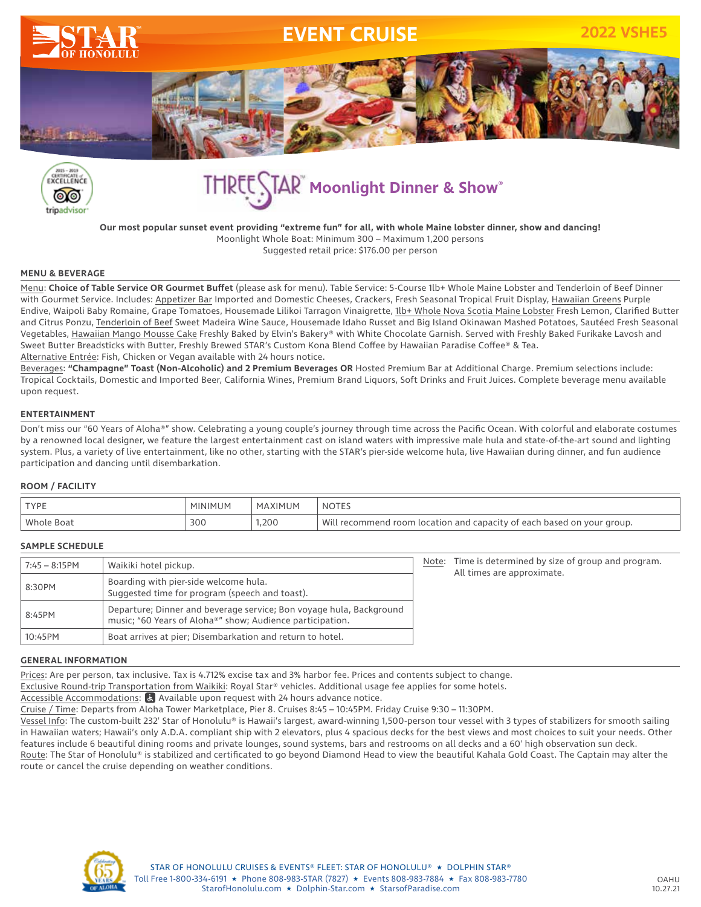



**THREE STAR Moonlight Dinner & Show®** 

**Our most popular sunset event providing "extreme fun" for all, with whole Maine lobster dinner, show and dancing!** Moonlight Whole Boat: Minimum 300 – Maximum 1,200 persons Suggested retail price: \$176.00 per person

## **MENU & BEVERAGE**

Menu: **Choice of Table Service OR Gourmet Buffet** (please ask for menu). Table Service: 5-Course 1lb+ Whole Maine Lobster and Tenderloin of Beef Dinner with Gourmet Service. Includes: Appetizer Bar Imported and Domestic Cheeses, Crackers, Fresh Seasonal Tropical Fruit Display, Hawaiian Greens Purple Endive, Waipoli Baby Romaine, Grape Tomatoes, Housemade Lilikoi Tarragon Vinaigrette, 1lb+ Whole Nova Scotia Maine Lobster Fresh Lemon, Clarified Butter and Citrus Ponzu, Tenderloin of Beef Sweet Madeira Wine Sauce, Housemade Idaho Russet and Big Island Okinawan Mashed Potatoes, Sautéed Fresh Seasonal Vegetables, Hawaiian Mango Mousse Cake Freshly Baked by Elvin's Bakery® with White Chocolate Garnish. Served with Freshly Baked Furikake Lavosh and Sweet Butter Breadsticks with Butter, Freshly Brewed STAR's Custom Kona Blend Coffee by Hawaiian Paradise Coffee® & Tea. Alternative Entrée: Fish, Chicken or Vegan available with 24 hours notice.

Beverages: **"Champagne" Toast (Non-Alcoholic) and 2 Premium Beverages OR** Hosted Premium Bar at Additional Charge. Premium selections include: Tropical Cocktails, Domestic and Imported Beer, California Wines, Premium Brand Liquors, Soft Drinks and Fruit Juices. Complete beverage menu available upon request.

## **ENTERTAINMENT**

Don't miss our "60 Years of Aloha®" show. Celebrating a young couple's journey through time across the Pacific Ocean. With colorful and elaborate costumes by a renowned local designer, we feature the largest entertainment cast on island waters with impressive male hula and state-of-the-art sound and lighting system. Plus, a variety of live entertainment, like no other, starting with the STAR's pier-side welcome hula, live Hawaiian during dinner, and fun audience participation and dancing until disembarkation.

## **ROOM / FACILITY**

| <b>TYPE</b> | MINIMUM | MAXIMUM | <b>NOTES</b>                                                           |
|-------------|---------|---------|------------------------------------------------------------------------|
| Whole Boat  | 300     | 1,200   | Will recommend room location and capacity of each based on your group. |

## **SAMPLE SCHEDULE**

| $7:45 - 8:15$ PM | Waikiki hotel pickup.                                                                                                            |
|------------------|----------------------------------------------------------------------------------------------------------------------------------|
| 8:30PM           | Boarding with pier-side welcome hula.<br>Suggested time for program (speech and toast).                                          |
| 8:45PM           | Departure; Dinner and beverage service; Bon voyage hula, Background<br>music; "60 Years of Aloha®" show; Audience participation. |
| 10:45PM          | Boat arrives at pier; Disembarkation and return to hotel.                                                                        |

Note: Time is determined by size of group and program. All times are approximate.

#### **GENERAL INFORMATION**

Prices: Are per person, tax inclusive. Tax is 4.712% excise tax and 3% harbor fee. Prices and contents subject to change.

Exclusive Round-trip Transportation from Waikiki: Royal Star® vehicles. Additional usage fee applies for some hotels.

Accessible Accommodations:  $\alpha$  Available upon request with 24 hours advance notice.

Cruise / Time: Departs from Aloha Tower Marketplace, Pier 8. Cruises 8:45 – 10:45PM. Friday Cruise 9:30 – 11:30PM.

Vessel Info: The custom-built 232' Star of Honolulu® is Hawaii's largest, award-winning 1,500-person tour vessel with 3 types of stabilizers for smooth sailing in Hawaiian waters; Hawaii's only A.D.A. compliant ship with 2 elevators, plus 4 spacious decks for the best views and most choices to suit your needs. Other features include 6 beautiful dining rooms and private lounges, sound systems, bars and restrooms on all decks and a 60' high observation sun deck.

Route: The Star of Honolulu® is stabilized and certificated to go beyond Diamond Head to view the beautiful Kahala Gold Coast. The Captain may alter the route or cancel the cruise depending on weather conditions.